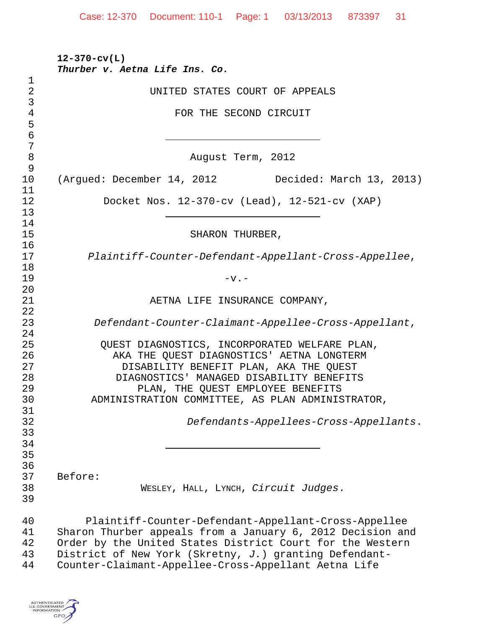| UNITED STATES COURT OF APPEALS                                                                                                                                                                                                                                                                    |
|---------------------------------------------------------------------------------------------------------------------------------------------------------------------------------------------------------------------------------------------------------------------------------------------------|
| FOR THE SECOND CIRCUIT                                                                                                                                                                                                                                                                            |
| August Term, 2012                                                                                                                                                                                                                                                                                 |
| (Argued: December 14, 2012 Decided: March 13, 2013)                                                                                                                                                                                                                                               |
| Docket Nos. 12-370-cv (Lead), 12-521-cv (XAP)                                                                                                                                                                                                                                                     |
| SHARON THURBER,                                                                                                                                                                                                                                                                                   |
| Plaintiff-Counter-Defendant-Appellant-Cross-Appellee,                                                                                                                                                                                                                                             |
| $-v -$                                                                                                                                                                                                                                                                                            |
| AETNA LIFE INSURANCE COMPANY,                                                                                                                                                                                                                                                                     |
| Defendant-Counter-Claimant-Appellee-Cross-Appellant,                                                                                                                                                                                                                                              |
| QUEST DIAGNOSTICS, INCORPORATED WELFARE PLAN,<br>AKA THE QUEST DIAGNOSTICS' AETNA LONGTERM<br>DISABILITY BENEFIT PLAN, AKA THE QUEST<br>DIAGNOSTICS' MANAGED DISABILITY BENEFITS<br>PLAN, THE QUEST EMPLOYEE BENEFITS<br>ADMINISTRATION COMMITTEE, AS PLAN ADMINISTRATOR,                         |
| Defendants-Appellees-Cross-Appellants.                                                                                                                                                                                                                                                            |
| Before:<br>WESLEY, HALL, LYNCH, Circuit Judges.                                                                                                                                                                                                                                                   |
| Plaintiff-Counter-Defendant-Appellant-Cross-Appellee<br>Sharon Thurber appeals from a January 6, 2012 Decision and<br>Order by the United States District Court for the Western<br>District of New York (Skretny, J.) granting Defendant-<br>Counter-Claimant-Appellee-Cross-Appellant Aetna Life |

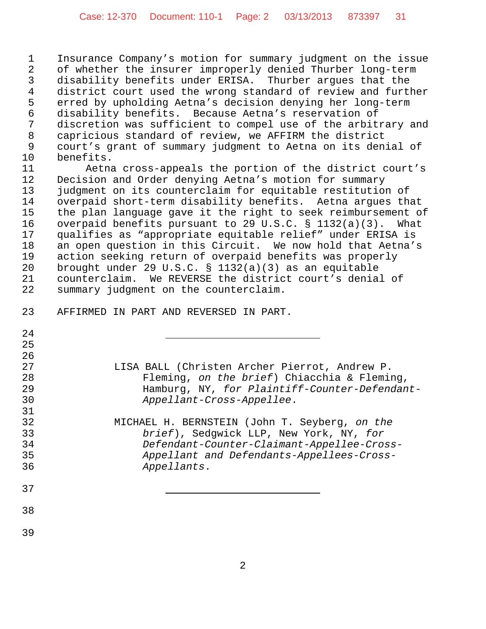Insurance Company's motion for summary judgment on the issue of whether the insurer improperly denied Thurber long-term disability benefits under ERISA. Thurber argues that the district court used the wrong standard of review and further erred by upholding Aetna's decision denying her long-term disability benefits. Because Aetna's reservation of 7 discretion was sufficient to compel use of the arbitrary and<br>8 capricious standard of review, we AFFIRM the district capricious standard of review, we AFFIRM the district court's grant of summary judgment to Aetna on its denial of benefits.

 Aetna cross-appeals the portion of the district court's Decision and Order denying Aetna's motion for summary judgment on its counterclaim for equitable restitution of overpaid short-term disability benefits. Aetna argues that 15 the plan language gave it the right to seek reimbursement of<br>16 overpaid benefits pursuant to 29 U.S.C. § 1132(a)(3). What overpaid benefits pursuant to 29 U.S.C.  $\S$  1132(a)(3). What qualifies as "appropriate equitable relief" under ERISA is an open question in this Circuit. We now hold that Aetna's action seeking return of overpaid benefits was properly brought under 29 U.S.C. § 1132(a)(3) as an equitable counterclaim. We REVERSE the district court's denial of summary judgment on the counterclaim.

| 24 |                                               |
|----|-----------------------------------------------|
| 25 |                                               |
| 26 |                                               |
| 27 | LISA BALL (Christen Archer Pierrot, Andrew P. |
| 28 | Fleming, on the brief) Chiacchia & Fleming,   |
| 29 | Hamburg, NY, for Plaintiff-Counter-Defendant- |
| 30 | Appellant-Cross-Appellee.                     |
| 31 |                                               |
| 32 | MICHAEL H. BERNSTEIN (John T. Seyberg, on the |
| 33 | brief), Sedqwick LLP, New York, NY, for       |
| 34 | Defendant-Counter-Claimant-Appellee-Cross-    |
| 35 | Appellant and Defendants-Appellees-Cross-     |
| 36 | Appellants.                                   |
|    |                                               |
| 37 |                                               |
|    |                                               |
| 38 |                                               |
|    |                                               |
| 39 |                                               |

AFFIRMED IN PART AND REVERSED IN PART.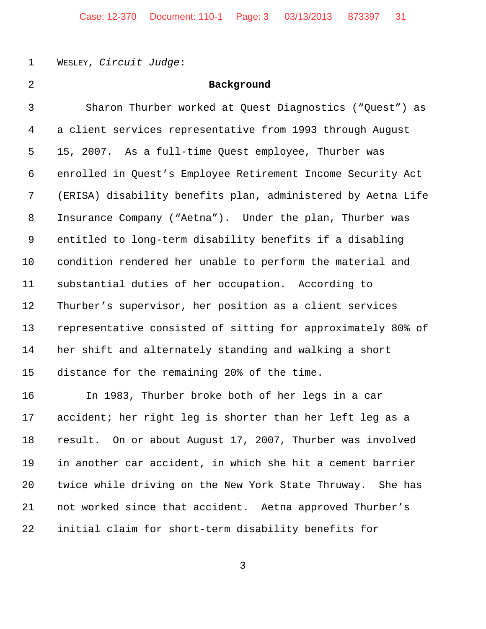WESLEY, *Circuit Judge*:

## **Background**

| $\mathbf{3}$   | Sharon Thurber worked at Quest Diagnostics ("Quest") as      |
|----------------|--------------------------------------------------------------|
| $\overline{4}$ | a client services representative from 1993 through August    |
| 5              | 15, 2007. As a full-time Quest employee, Thurber was         |
| 6              | enrolled in Quest's Employee Retirement Income Security Act  |
| 7              | (ERISA) disability benefits plan, administered by Aetna Life |
| 8              | Insurance Company ("Aetna"). Under the plan, Thurber was     |
| 9              | entitled to long-term disability benefits if a disabling     |
| 10             | condition rendered her unable to perform the material and    |
| 11             | substantial duties of her occupation. According to           |
| 12             | Thurber's supervisor, her position as a client services      |
| 13             | representative consisted of sitting for approximately 80% of |
| 14             | her shift and alternately standing and walking a short       |
| 15             | distance for the remaining 20% of the time.                  |
|                |                                                              |

 In 1983, Thurber broke both of her legs in a car accident; her right leg is shorter than her left leg as a result. On or about August 17, 2007, Thurber was involved in another car accident, in which she hit a cement barrier twice while driving on the New York State Thruway. She has not worked since that accident. Aetna approved Thurber's initial claim for short-term disability benefits for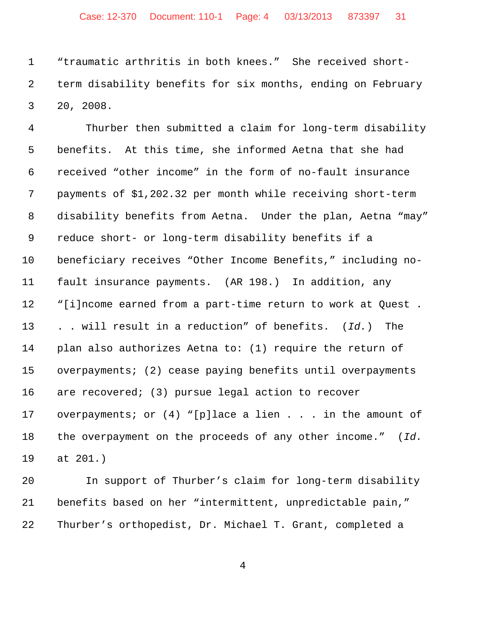"traumatic arthritis in both knees." She received short- term disability benefits for six months, ending on February 20, 2008.

 Thurber then submitted a claim for long-term disability benefits. At this time, she informed Aetna that she had received "other income" in the form of no-fault insurance payments of \$1,202.32 per month while receiving short-term disability benefits from Aetna. Under the plan, Aetna "may" reduce short- or long-term disability benefits if a beneficiary receives "Other Income Benefits," including no- fault insurance payments. (AR 198.) In addition, any "[i]ncome earned from a part-time return to work at Quest . . . will result in a reduction" of benefits. (*Id.*) The plan also authorizes Aetna to: (1) require the return of overpayments; (2) cease paying benefits until overpayments are recovered; (3) pursue legal action to recover overpayments; or (4) "[p]lace a lien . . . in the amount of the overpayment on the proceeds of any other income." (*Id.* at 201.)

 In support of Thurber's claim for long-term disability benefits based on her "intermittent, unpredictable pain," Thurber's orthopedist, Dr. Michael T. Grant, completed a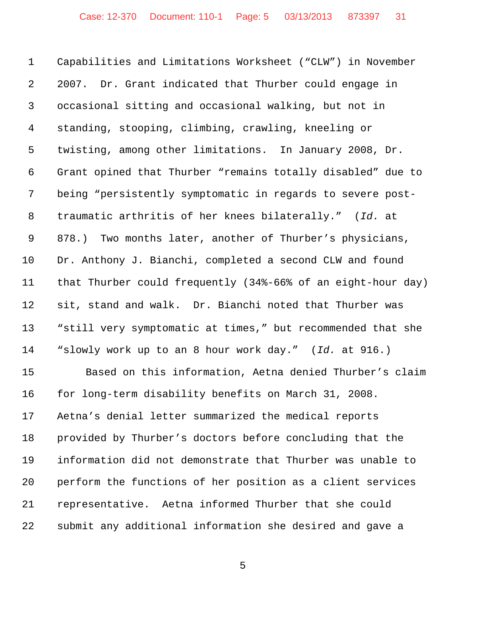Capabilities and Limitations Worksheet ("CLW") in November 2007. Dr. Grant indicated that Thurber could engage in occasional sitting and occasional walking, but not in standing, stooping, climbing, crawling, kneeling or twisting, among other limitations. In January 2008, Dr. Grant opined that Thurber "remains totally disabled" due to being "persistently symptomatic in regards to severe post- traumatic arthritis of her knees bilaterally." (*Id.* at 878.) Two months later, another of Thurber's physicians, Dr. Anthony J. Bianchi, completed a second CLW and found that Thurber could frequently (34%-66% of an eight-hour day) sit, stand and walk. Dr. Bianchi noted that Thurber was "still very symptomatic at times," but recommended that she "slowly work up to an 8 hour work day." (*Id.* at 916.) Based on this information, Aetna denied Thurber's claim for long-term disability benefits on March 31, 2008.

 Aetna's denial letter summarized the medical reports provided by Thurber's doctors before concluding that the information did not demonstrate that Thurber was unable to perform the functions of her position as a client services representative. Aetna informed Thurber that she could submit any additional information she desired and gave a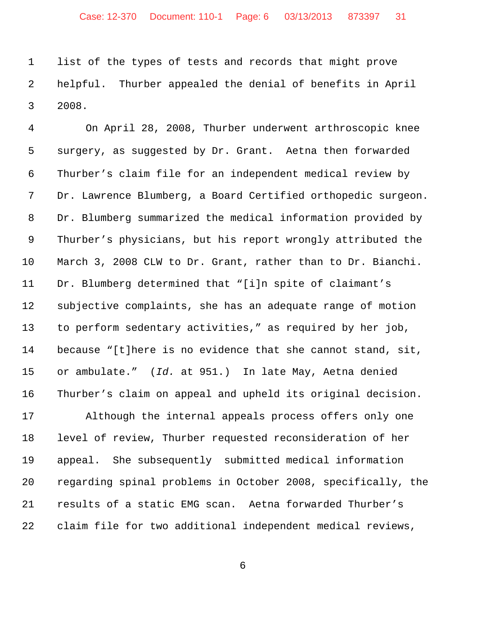list of the types of tests and records that might prove helpful. Thurber appealed the denial of benefits in April 2008.

 On April 28, 2008, Thurber underwent arthroscopic knee surgery, as suggested by Dr. Grant. Aetna then forwarded Thurber's claim file for an independent medical review by Dr. Lawrence Blumberg, a Board Certified orthopedic surgeon. Dr. Blumberg summarized the medical information provided by Thurber's physicians, but his report wrongly attributed the March 3, 2008 CLW to Dr. Grant, rather than to Dr. Bianchi. Dr. Blumberg determined that "[i]n spite of claimant's subjective complaints, she has an adequate range of motion to perform sedentary activities," as required by her job, because "[t]here is no evidence that she cannot stand, sit, or ambulate." (*Id.* at 951.) In late May, Aetna denied Thurber's claim on appeal and upheld its original decision.

 Although the internal appeals process offers only one level of review, Thurber requested reconsideration of her appeal. She subsequently submitted medical information regarding spinal problems in October 2008, specifically, the results of a static EMG scan. Aetna forwarded Thurber's claim file for two additional independent medical reviews,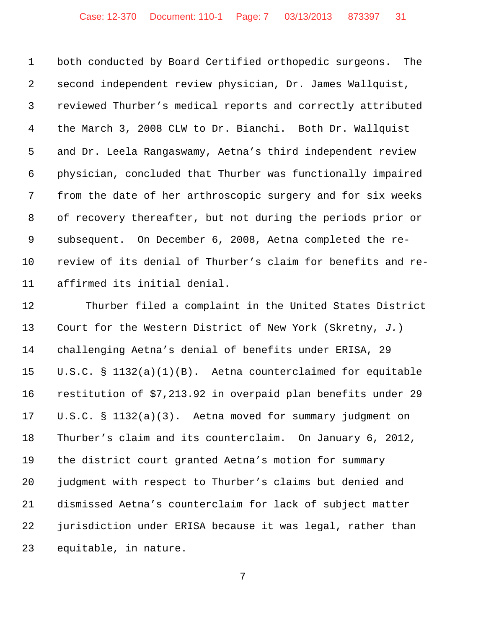both conducted by Board Certified orthopedic surgeons. The second independent review physician, Dr. James Wallquist, reviewed Thurber's medical reports and correctly attributed the March 3, 2008 CLW to Dr. Bianchi. Both Dr. Wallquist and Dr. Leela Rangaswamy, Aetna's third independent review physician, concluded that Thurber was functionally impaired from the date of her arthroscopic surgery and for six weeks of recovery thereafter, but not during the periods prior or subsequent. On December 6, 2008, Aetna completed the re- review of its denial of Thurber's claim for benefits and re-affirmed its initial denial.

 Thurber filed a complaint in the United States District Court for the Western District of New York (Skretny, *J.*) challenging Aetna's denial of benefits under ERISA, 29 U.S.C. § 1132(a)(1)(B). Aetna counterclaimed for equitable restitution of \$7,213.92 in overpaid plan benefits under 29 U.S.C. § 1132(a)(3). Aetna moved for summary judgment on Thurber's claim and its counterclaim. On January 6, 2012, the district court granted Aetna's motion for summary judgment with respect to Thurber's claims but denied and dismissed Aetna's counterclaim for lack of subject matter jurisdiction under ERISA because it was legal, rather than equitable, in nature.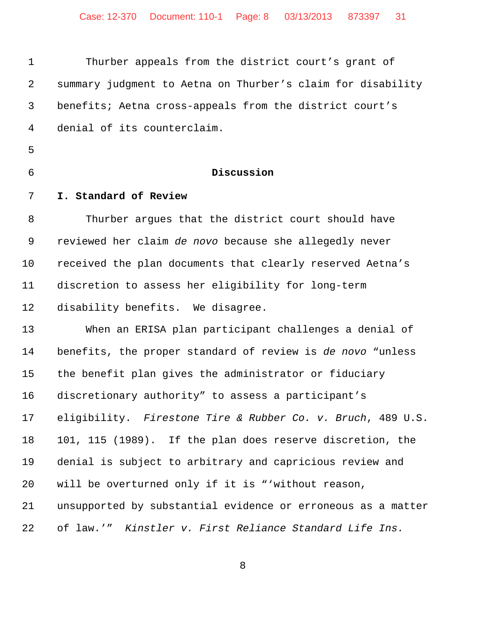| $\mathbf 1$ | Thurber appeals from the district court's grant of           |
|-------------|--------------------------------------------------------------|
| 2           | summary judgment to Aetna on Thurber's claim for disability  |
| 3           | benefits; Aetna cross-appeals from the district court's      |
| 4           | denial of its counterclaim.                                  |
| 5           |                                                              |
| 6           | Discussion                                                   |
| 7           | I. Standard of Review                                        |
| 8           | Thurber argues that the district court should have           |
| 9           | reviewed her claim de novo because she allegedly never       |
| 10          | received the plan documents that clearly reserved Aetna's    |
| 11          | discretion to assess her eligibility for long-term           |
| 12          | disability benefits. We disagree.                            |
| 13          | When an ERISA plan participant challenges a denial of        |
| 14          | benefits, the proper standard of review is de novo "unless   |
| 15          | the benefit plan gives the administrator or fiduciary        |
| 16          | discretionary authority" to assess a participant's           |
| 17          | eligibility. Firestone Tire & Rubber Co. v. Bruch, 489 U.S.  |
| 18          | 101, 115 (1989). If the plan does reserve discretion, the    |
| 19          | denial is subject to arbitrary and capricious review and     |
| 20          | will be overturned only if it is "'without reason,           |
| 21          | unsupported by substantial evidence or erroneous as a matter |
| 22          | of law.'" Kinstler v. First Reliance Standard Life Ins.      |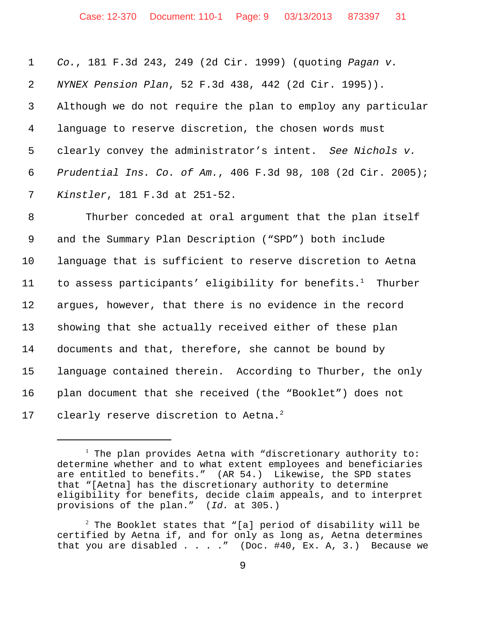|                 | 1 Co., 181 F.3d 243, 249 (2d Cir. 1999) (quoting Pagan v.      |
|-----------------|----------------------------------------------------------------|
| $2^{\circ}$     | NYNEX Pension Plan, 52 F.3d 438, 442 (2d Cir. 1995)).          |
| 3 <sup>7</sup>  | Although we do not require the plan to employ any particular   |
| $4\overline{ }$ | language to reserve discretion, the chosen words must          |
| 5               | clearly convey the administrator's intent. See Nichols v.      |
|                 | 6 Prudential Ins. Co. of Am., 406 F.3d 98, 108 (2d Cir. 2005); |
| 7               | Kinstler, 181 F.3d at 251-52.                                  |

 Thurber conceded at oral argument that the plan itself and the Summary Plan Description ("SPD") both include language that is sufficient to reserve discretion to Aetna 11 to assess participants' eligibility for benefits.<sup>1</sup> Thurber argues, however, that there is no evidence in the record showing that she actually received either of these plan documents and that, therefore, she cannot be bound by language contained therein. According to Thurber, the only plan document that she received (the "Booklet") does not 17 clearly reserve discretion to Aetna.<sup>2</sup>

 $^1$  The plan provides Aetna with "discretionary authority to: determine whether and to what extent employees and beneficiaries are entitled to benefits." (AR 54.) Likewise, the SPD states that "[Aetna] has the discretionary authority to determine eligibility for benefits, decide claim appeals, and to interpret provisions of the plan." (*Id.* at 305.)

 $^2$  The Booklet states that "[a] period of disability will be certified by Aetna if, and for only as long as, Aetna determines that you are disabled  $\ldots$  . . " (Doc. #40, Ex. A, 3.) Because we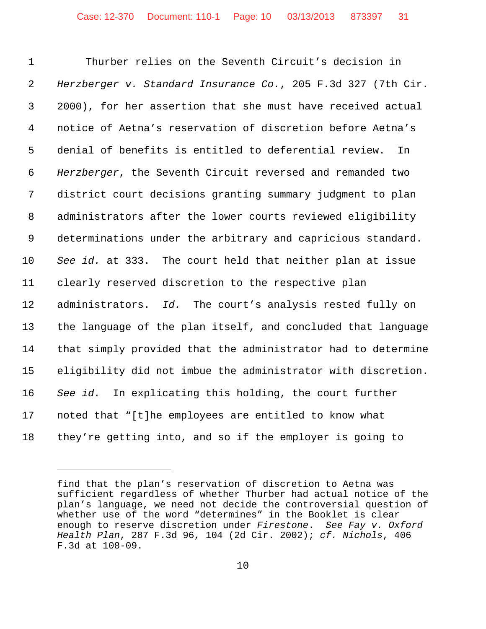Thurber relies on the Seventh Circuit's decision in *Herzberger v. Standard Insurance Co.*, 205 F.3d 327 (7th Cir. 2000), for her assertion that she must have received actual notice of Aetna's reservation of discretion before Aetna's denial of benefits is entitled to deferential review. In *Herzberger*, the Seventh Circuit reversed and remanded two district court decisions granting summary judgment to plan administrators after the lower courts reviewed eligibility determinations under the arbitrary and capricious standard. *See id.* at 333. The court held that neither plan at issue clearly reserved discretion to the respective plan administrators. *Id.* The court's analysis rested fully on the language of the plan itself, and concluded that language that simply provided that the administrator had to determine eligibility did not imbue the administrator with discretion. *See id.* In explicating this holding, the court further noted that "[t]he employees are entitled to know what they're getting into, and so if the employer is going to

find that the plan's reservation of discretion to Aetna was sufficient regardless of whether Thurber had actual notice of the plan's language, we need not decide the controversial question of whether use of the word "determines" in the Booklet is clear enough to reserve discretion under *Firestone*. *See Fay v. Oxford Health Plan*, 287 F.3d 96, 104 (2d Cir. 2002); *cf. Nichols*, 406 F.3d at 108-09.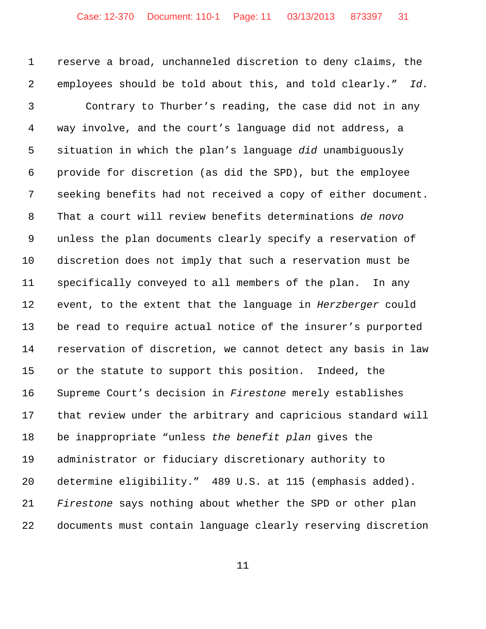reserve a broad, unchanneled discretion to deny claims, the employees should be told about this, and told clearly." *Id.*

 Contrary to Thurber's reading, the case did not in any way involve, and the court's language did not address, a situation in which the plan's language *did* unambiguously provide for discretion (as did the SPD), but the employee seeking benefits had not received a copy of either document. That a court will review benefits determinations *de novo* unless the plan documents clearly specify a reservation of discretion does not imply that such a reservation must be specifically conveyed to all members of the plan. In any event, to the extent that the language in *Herzberger* could be read to require actual notice of the insurer's purported reservation of discretion, we cannot detect any basis in law or the statute to support this position. Indeed, the Supreme Court's decision in *Firestone* merely establishes that review under the arbitrary and capricious standard will be inappropriate "unless *the benefit plan* gives the administrator or fiduciary discretionary authority to determine eligibility." 489 U.S. at 115 (emphasis added). *Firestone* says nothing about whether the SPD or other plan documents must contain language clearly reserving discretion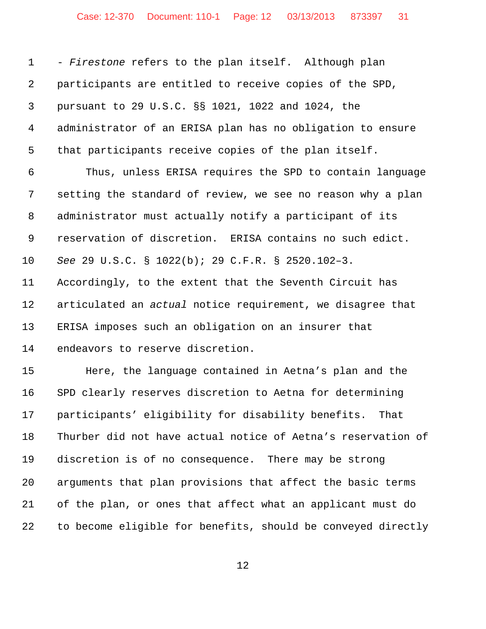- *Firestone* refers to the plan itself. Although plan participants are entitled to receive copies of the SPD, pursuant to 29 U.S.C. §§ 1021, 1022 and 1024, the administrator of an ERISA plan has no obligation to ensure that participants receive copies of the plan itself. Thus, unless ERISA requires the SPD to contain language setting the standard of review, we see no reason why a plan administrator must actually notify a participant of its reservation of discretion. ERISA contains no such edict. *See* 29 U.S.C. § 1022(b); 29 C.F.R. § 2520.102–3. Accordingly, to the extent that the Seventh Circuit has articulated an *actual* notice requirement, we disagree that ERISA imposes such an obligation on an insurer that endeavors to reserve discretion. Here, the language contained in Aetna's plan and the SPD clearly reserves discretion to Aetna for determining participants' eligibility for disability benefits. That Thurber did not have actual notice of Aetna's reservation of discretion is of no consequence. There may be strong arguments that plan provisions that affect the basic terms of the plan, or ones that affect what an applicant must do to become eligible for benefits, should be conveyed directly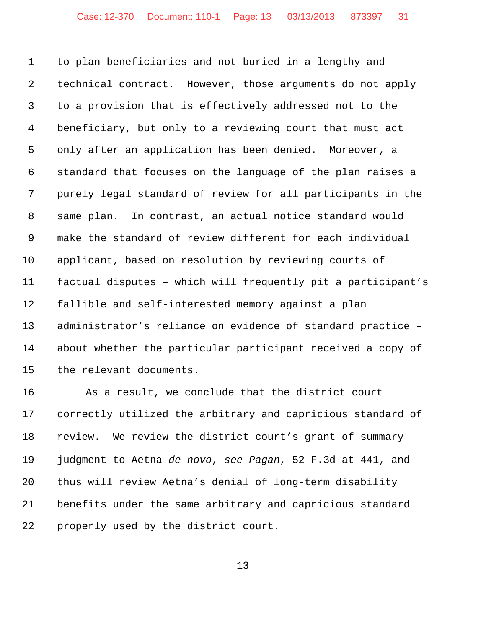to plan beneficiaries and not buried in a lengthy and technical contract. However, those arguments do not apply to a provision that is effectively addressed not to the beneficiary, but only to a reviewing court that must act only after an application has been denied. Moreover, a standard that focuses on the language of the plan raises a purely legal standard of review for all participants in the same plan. In contrast, an actual notice standard would make the standard of review different for each individual applicant, based on resolution by reviewing courts of factual disputes – which will frequently pit a participant's fallible and self-interested memory against a plan administrator's reliance on evidence of standard practice – about whether the particular participant received a copy of the relevant documents.

 As a result, we conclude that the district court correctly utilized the arbitrary and capricious standard of review. We review the district court's grant of summary judgment to Aetna *de novo*, *see Pagan*, 52 F.3d at 441, and thus will review Aetna's denial of long-term disability benefits under the same arbitrary and capricious standard properly used by the district court.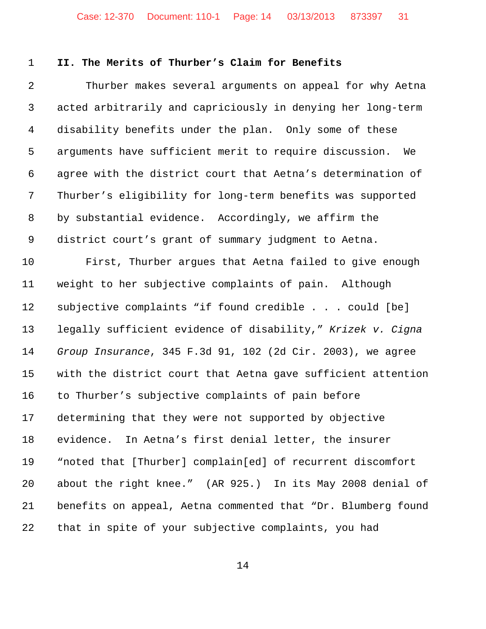## **II. The Merits of Thurber's Claim for Benefits**

 Thurber makes several arguments on appeal for why Aetna acted arbitrarily and capriciously in denying her long-term disability benefits under the plan. Only some of these arguments have sufficient merit to require discussion. We agree with the district court that Aetna's determination of Thurber's eligibility for long-term benefits was supported by substantial evidence. Accordingly, we affirm the district court's grant of summary judgment to Aetna. First, Thurber argues that Aetna failed to give enough weight to her subjective complaints of pain. Although subjective complaints "if found credible . . . could [be] legally sufficient evidence of disability," *Krizek v. Cigna Group Insurance*, 345 F.3d 91, 102 (2d Cir. 2003), we agree with the district court that Aetna gave sufficient attention to Thurber's subjective complaints of pain before determining that they were not supported by objective evidence. In Aetna's first denial letter, the insurer "noted that [Thurber] complain[ed] of recurrent discomfort about the right knee." (AR 925.) In its May 2008 denial of benefits on appeal, Aetna commented that "Dr. Blumberg found

that in spite of your subjective complaints, you had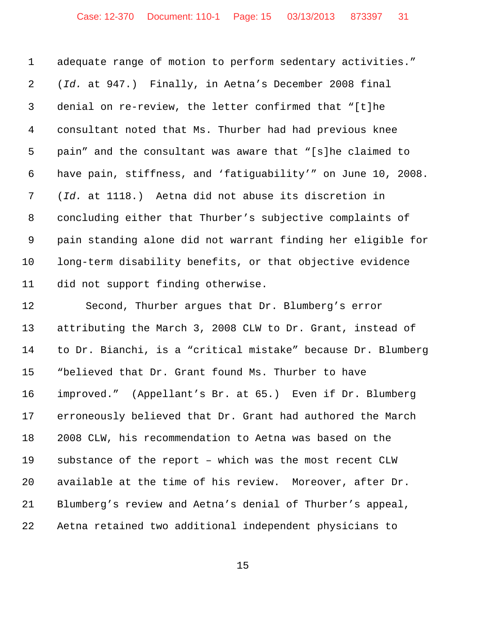adequate range of motion to perform sedentary activities." (*Id.* at 947.) Finally, in Aetna's December 2008 final denial on re-review, the letter confirmed that "[t]he consultant noted that Ms. Thurber had had previous knee pain" and the consultant was aware that "[s]he claimed to have pain, stiffness, and 'fatiguability'" on June 10, 2008. (*Id.* at 1118.) Aetna did not abuse its discretion in concluding either that Thurber's subjective complaints of pain standing alone did not warrant finding her eligible for long-term disability benefits, or that objective evidence did not support finding otherwise.

 Second, Thurber argues that Dr. Blumberg's error attributing the March 3, 2008 CLW to Dr. Grant, instead of to Dr. Bianchi, is a "critical mistake" because Dr. Blumberg "believed that Dr. Grant found Ms. Thurber to have improved." (Appellant's Br. at 65.) Even if Dr. Blumberg erroneously believed that Dr. Grant had authored the March 2008 CLW, his recommendation to Aetna was based on the substance of the report – which was the most recent CLW available at the time of his review. Moreover, after Dr. Blumberg's review and Aetna's denial of Thurber's appeal, Aetna retained two additional independent physicians to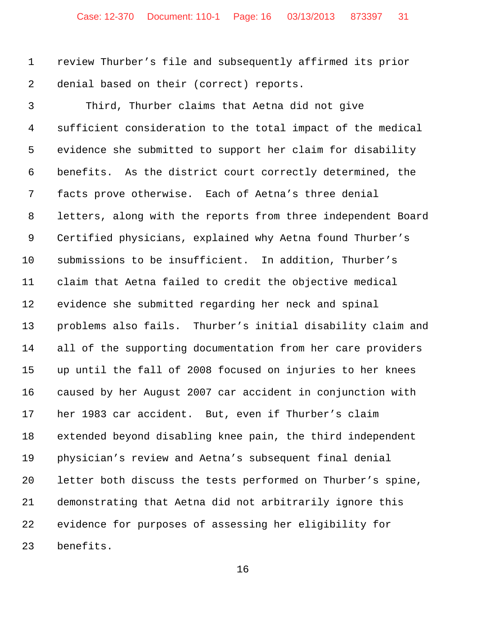review Thurber's file and subsequently affirmed its prior denial based on their (correct) reports.

 Third, Thurber claims that Aetna did not give sufficient consideration to the total impact of the medical evidence she submitted to support her claim for disability benefits. As the district court correctly determined, the facts prove otherwise. Each of Aetna's three denial letters, along with the reports from three independent Board Certified physicians, explained why Aetna found Thurber's submissions to be insufficient. In addition, Thurber's claim that Aetna failed to credit the objective medical evidence she submitted regarding her neck and spinal problems also fails. Thurber's initial disability claim and all of the supporting documentation from her care providers up until the fall of 2008 focused on injuries to her knees caused by her August 2007 car accident in conjunction with her 1983 car accident. But, even if Thurber's claim extended beyond disabling knee pain, the third independent physician's review and Aetna's subsequent final denial letter both discuss the tests performed on Thurber's spine, demonstrating that Aetna did not arbitrarily ignore this evidence for purposes of assessing her eligibility for benefits.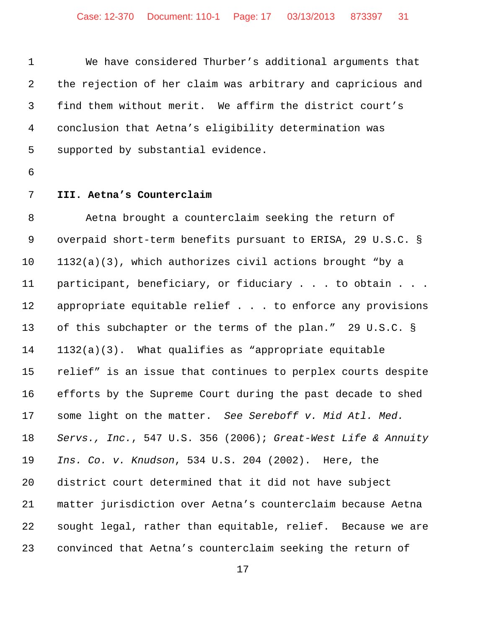We have considered Thurber's additional arguments that the rejection of her claim was arbitrary and capricious and find them without merit. We affirm the district court's conclusion that Aetna's eligibility determination was supported by substantial evidence.

- -

## **III. Aetna's Counterclaim**

 Aetna brought a counterclaim seeking the return of overpaid short-term benefits pursuant to ERISA, 29 U.S.C. § 1132(a)(3), which authorizes civil actions brought "by a participant, beneficiary, or fiduciary . . . to obtain . . . appropriate equitable relief . . . to enforce any provisions of this subchapter or the terms of the plan." 29 U.S.C. § 1132(a)(3). What qualifies as "appropriate equitable relief" is an issue that continues to perplex courts despite efforts by the Supreme Court during the past decade to shed some light on the matter. *See Sereboff v. Mid Atl. Med. Servs., Inc.*, 547 U.S. 356 (2006); *Great-West Life & Annuity Ins. Co. v. Knudson*, 534 U.S. 204 (2002). Here, the district court determined that it did not have subject matter jurisdiction over Aetna's counterclaim because Aetna sought legal, rather than equitable, relief. Because we are convinced that Aetna's counterclaim seeking the return of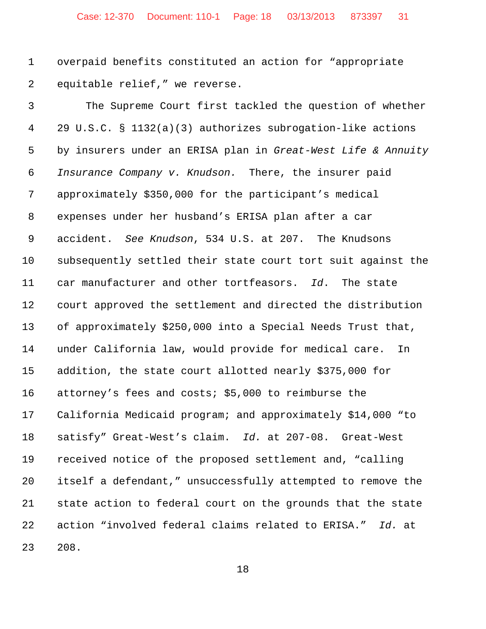overpaid benefits constituted an action for "appropriate equitable relief," we reverse.

 The Supreme Court first tackled the question of whether 29 U.S.C. § 1132(a)(3) authorizes subrogation-like actions by insurers under an ERISA plan in *Great-West Life & Annuity Insurance Company v. Knudson.* There, the insurer paid approximately \$350,000 for the participant's medical expenses under her husband's ERISA plan after a car accident. *See Knudson*, 534 U.S. at 207. The Knudsons subsequently settled their state court tort suit against the car manufacturer and other tortfeasors. *Id*. The state court approved the settlement and directed the distribution of approximately \$250,000 into a Special Needs Trust that, under California law, would provide for medical care. In addition, the state court allotted nearly \$375,000 for attorney's fees and costs; \$5,000 to reimburse the California Medicaid program; and approximately \$14,000 "to satisfy" Great-West's claim. *Id.* at 207-08. Great-West received notice of the proposed settlement and, "calling itself a defendant," unsuccessfully attempted to remove the state action to federal court on the grounds that the state action "involved federal claims related to ERISA." *Id.* at 208.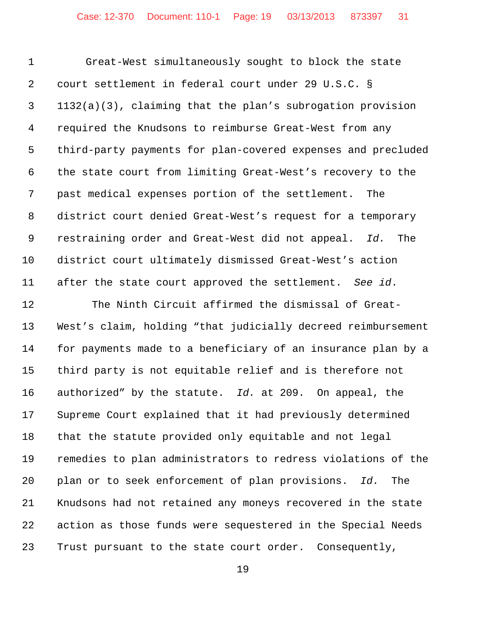Great-West simultaneously sought to block the state court settlement in federal court under 29 U.S.C. § 1132(a)(3), claiming that the plan's subrogation provision required the Knudsons to reimburse Great-West from any third-party payments for plan-covered expenses and precluded the state court from limiting Great-West's recovery to the past medical expenses portion of the settlement. The district court denied Great-West's request for a temporary restraining order and Great-West did not appeal. *Id.* The district court ultimately dismissed Great-West's action after the state court approved the settlement. *See id*. 12 The Ninth Circuit affirmed the dismissal of Great- West's claim, holding "that judicially decreed reimbursement for payments made to a beneficiary of an insurance plan by a third party is not equitable relief and is therefore not authorized" by the statute. *Id.* at 209. On appeal, the Supreme Court explained that it had previously determined that the statute provided only equitable and not legal remedies to plan administrators to redress violations of the plan or to seek enforcement of plan provisions. *Id.* The Knudsons had not retained any moneys recovered in the state action as those funds were sequestered in the Special Needs Trust pursuant to the state court order. Consequently,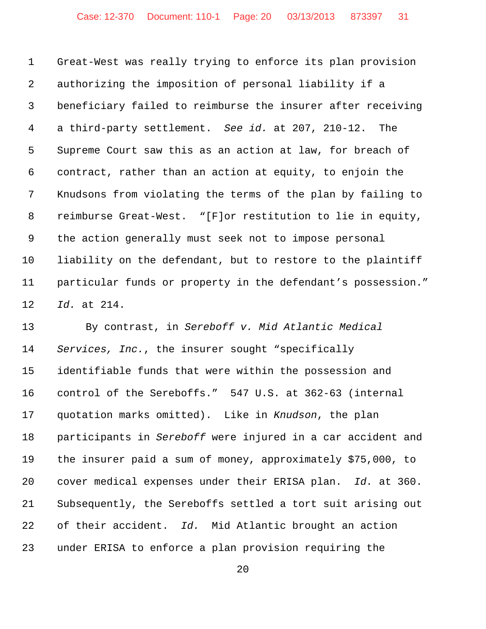Great-West was really trying to enforce its plan provision authorizing the imposition of personal liability if a beneficiary failed to reimburse the insurer after receiving a third-party settlement. *See id.* at 207, 210-12. The Supreme Court saw this as an action at law, for breach of contract, rather than an action at equity, to enjoin the Knudsons from violating the terms of the plan by failing to reimburse Great-West. "[F]or restitution to lie in equity, the action generally must seek not to impose personal liability on the defendant, but to restore to the plaintiff particular funds or property in the defendant's possession." *Id.* at 214.

 By contrast, in *Sereboff v. Mid Atlantic Medical Services, Inc.*, the insurer sought "specifically identifiable funds that were within the possession and control of the Sereboffs." 547 U.S. at 362-63 (internal quotation marks omitted). Like in *Knudson*, the plan participants in *Sereboff* were injured in a car accident and the insurer paid a sum of money, approximately \$75,000, to cover medical expenses under their ERISA plan. *Id.* at 360. Subsequently, the Sereboffs settled a tort suit arising out of their accident. *Id.* Mid Atlantic brought an action under ERISA to enforce a plan provision requiring the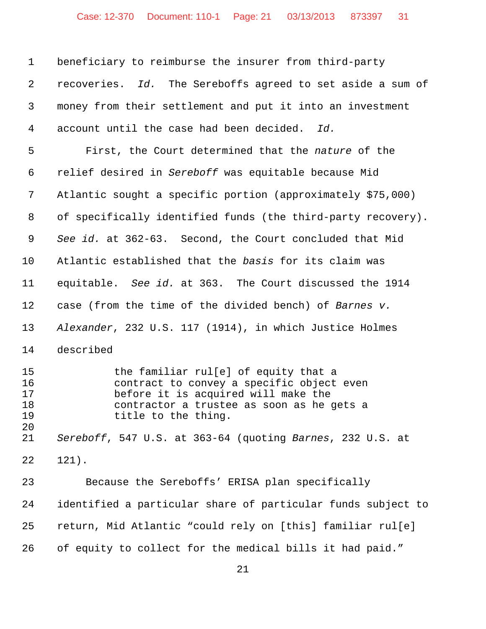| $\mathbf{1}$                          | beneficiary to reimburse the insurer from third-party                                                                                                                                        |
|---------------------------------------|----------------------------------------------------------------------------------------------------------------------------------------------------------------------------------------------|
| $\overline{2}$                        | recoveries. Id. The Sereboffs agreed to set aside a sum of                                                                                                                                   |
| 3                                     | money from their settlement and put it into an investment                                                                                                                                    |
| 4                                     | account until the case had been decided.<br>Id.                                                                                                                                              |
| 5                                     | First, the Court determined that the nature of the                                                                                                                                           |
| 6                                     | relief desired in Sereboff was equitable because Mid                                                                                                                                         |
| 7                                     | Atlantic sought a specific portion (approximately \$75,000)                                                                                                                                  |
| 8                                     | of specifically identified funds (the third-party recovery).                                                                                                                                 |
| 9                                     | See id. at 362-63. Second, the Court concluded that Mid                                                                                                                                      |
| 10                                    | Atlantic established that the basis for its claim was                                                                                                                                        |
| 11                                    | equitable. See id. at 363. The Court discussed the 1914                                                                                                                                      |
| 12                                    | case (from the time of the divided bench) of Barnes v.                                                                                                                                       |
| 13                                    | Alexander, 232 U.S. 117 (1914), in which Justice Holmes                                                                                                                                      |
| 14                                    | described                                                                                                                                                                                    |
| 15<br>16<br>17<br>18<br>19<br>$20 \,$ | the familiar rul[e] of equity that a<br>contract to convey a specific object even<br>before it is acquired will make the<br>contractor a trustee as soon as he gets a<br>title to the thing. |
| 21                                    | Sereboff, 547 U.S. at 363-64 (quoting Barnes, 232 U.S. at                                                                                                                                    |
| 22                                    | $121$ .                                                                                                                                                                                      |
| 23                                    | Because the Sereboffs' ERISA plan specifically                                                                                                                                               |
| 24                                    | identified a particular share of particular funds subject to                                                                                                                                 |
| 25                                    | return, Mid Atlantic "could rely on [this] familiar rul[e]                                                                                                                                   |
| 26                                    | of equity to collect for the medical bills it had paid."                                                                                                                                     |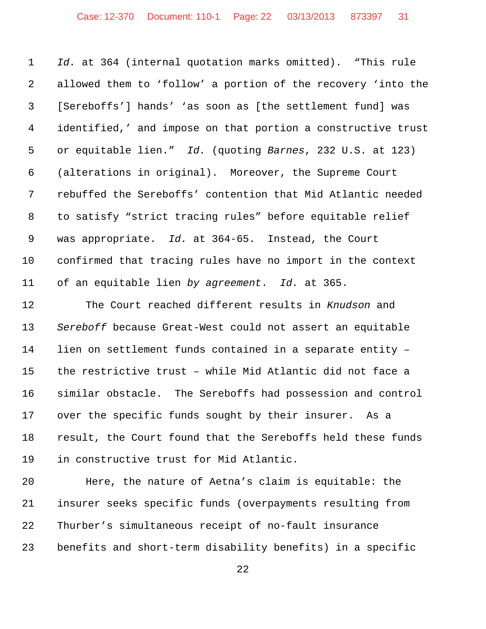*Id.* at 364 (internal quotation marks omitted). "This rule allowed them to 'follow' a portion of the recovery 'into the [Sereboffs'] hands' 'as soon as [the settlement fund] was identified,' and impose on that portion a constructive trust or equitable lien." *Id.* (quoting *Barnes*, 232 U.S. at 123) (alterations in original). Moreover, the Supreme Court rebuffed the Sereboffs' contention that Mid Atlantic needed to satisfy "strict tracing rules" before equitable relief was appropriate. *Id.* at 364-65. Instead, the Court confirmed that tracing rules have no import in the context of an equitable lien *by agreement*. *Id.* at 365.

 The Court reached different results in *Knudson* and *Sereboff* because Great-West could not assert an equitable lien on settlement funds contained in a separate entity – the restrictive trust – while Mid Atlantic did not face a similar obstacle. The Sereboffs had possession and control over the specific funds sought by their insurer. As a result, the Court found that the Sereboffs held these funds in constructive trust for Mid Atlantic.

 Here, the nature of Aetna's claim is equitable: the insurer seeks specific funds (overpayments resulting from Thurber's simultaneous receipt of no-fault insurance benefits and short-term disability benefits) in a specific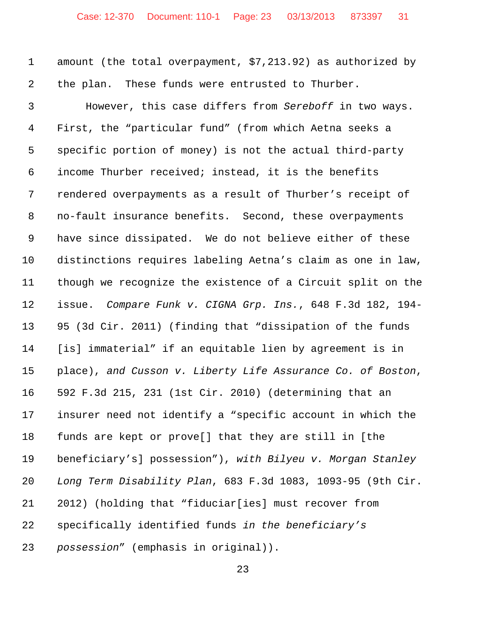amount (the total overpayment, \$7,213.92) as authorized by the plan. These funds were entrusted to Thurber.

 However, this case differs from *Sereboff* in two ways. First, the "particular fund" (from which Aetna seeks a specific portion of money) is not the actual third-party income Thurber received; instead, it is the benefits rendered overpayments as a result of Thurber's receipt of no-fault insurance benefits. Second, these overpayments have since dissipated. We do not believe either of these distinctions requires labeling Aetna's claim as one in law, though we recognize the existence of a Circuit split on the issue. *Compare Funk v. CIGNA Grp. Ins.*, 648 F.3d 182, 194- 95 (3d Cir. 2011) (finding that "dissipation of the funds [is] immaterial" if an equitable lien by agreement is in place), *and Cusson v. Liberty Life Assurance Co. of Boston*, 592 F.3d 215, 231 (1st Cir. 2010) (determining that an insurer need not identify a "specific account in which the funds are kept or prove[] that they are still in [the beneficiary's] possession"), *with Bilyeu v. Morgan Stanley Long Term Disability Plan*, 683 F.3d 1083, 1093-95 (9th Cir. 2012) (holding that "fiduciar[ies] must recover from specifically identified funds *in the beneficiary's possession*" (emphasis in original)).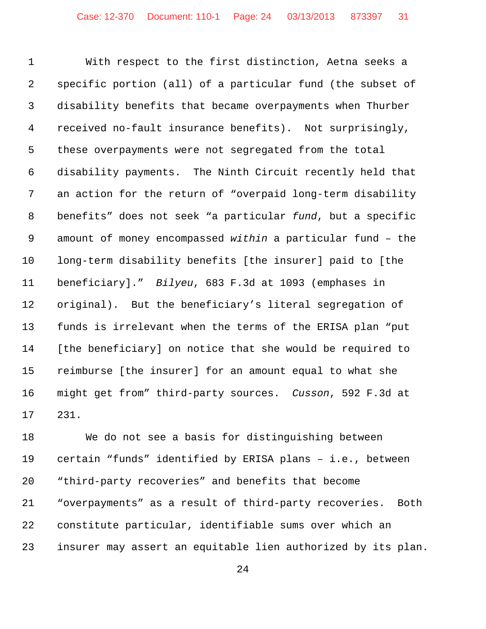With respect to the first distinction, Aetna seeks a specific portion (all) of a particular fund (the subset of disability benefits that became overpayments when Thurber received no-fault insurance benefits). Not surprisingly, these overpayments were not segregated from the total disability payments. The Ninth Circuit recently held that an action for the return of "overpaid long-term disability benefits" does not seek "a particular *fund*, but a specific amount of money encompassed *within* a particular fund – the long-term disability benefits [the insurer] paid to [the beneficiary]." *Bilyeu*, 683 F.3d at 1093 (emphases in original). But the beneficiary's literal segregation of funds is irrelevant when the terms of the ERISA plan "put [the beneficiary] on notice that she would be required to reimburse [the insurer] for an amount equal to what she might get from" third-party sources. *Cusson*, 592 F.3d at 231.

 We do not see a basis for distinguishing between certain "funds" identified by ERISA plans – i.e., between "third-party recoveries" and benefits that become "overpayments" as a result of third-party recoveries. Both constitute particular, identifiable sums over which an insurer may assert an equitable lien authorized by its plan.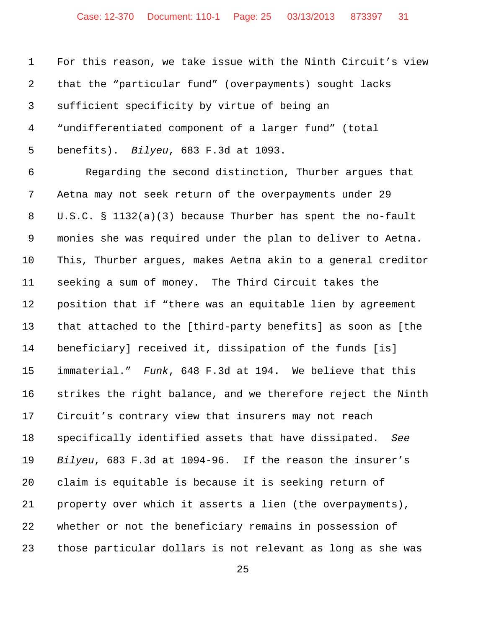For this reason, we take issue with the Ninth Circuit's view that the "particular fund" (overpayments) sought lacks sufficient specificity by virtue of being an "undifferentiated component of a larger fund" (total benefits). *Bilyeu*, 683 F.3d at 1093. Regarding the second distinction, Thurber argues that Aetna may not seek return of the overpayments under 29 U.S.C. § 1132(a)(3) because Thurber has spent the no-fault monies she was required under the plan to deliver to Aetna. This, Thurber argues, makes Aetna akin to a general creditor seeking a sum of money. The Third Circuit takes the position that if "there was an equitable lien by agreement that attached to the [third-party benefits] as soon as [the beneficiary] received it, dissipation of the funds [is] immaterial." *Funk*, 648 F.3d at 194**.** We believe that this strikes the right balance, and we therefore reject the Ninth Circuit's contrary view that insurers may not reach specifically identified assets that have dissipated. *See Bilyeu*, 683 F.3d at 1094-96. If the reason the insurer's claim is equitable is because it is seeking return of property over which it asserts a lien (the overpayments), whether or not the beneficiary remains in possession of those particular dollars is not relevant as long as she was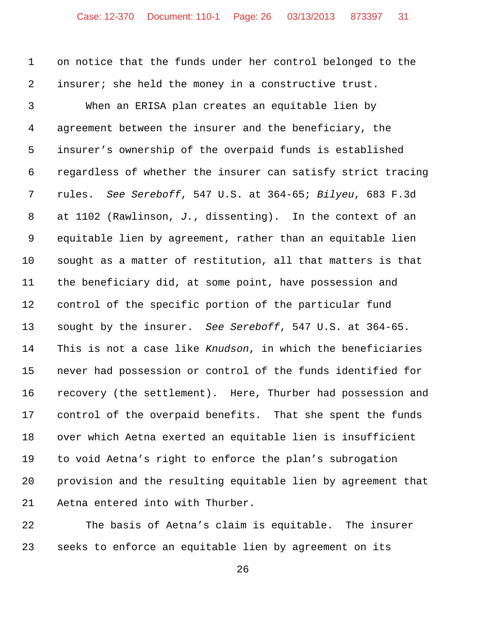on notice that the funds under her control belonged to the insurer; she held the money in a constructive trust.

 When an ERISA plan creates an equitable lien by agreement between the insurer and the beneficiary, the insurer's ownership of the overpaid funds is established regardless of whether the insurer can satisfy strict tracing rules. *See Sereboff*, 547 U.S. at 364-65; *Bilyeu*, 683 F.3d at 1102 (Rawlinson, *J.*, dissenting). In the context of an equitable lien by agreement, rather than an equitable lien sought as a matter of restitution, all that matters is that the beneficiary did, at some point, have possession and control of the specific portion of the particular fund sought by the insurer. *See Sereboff*, 547 U.S. at 364-65. This is not a case like *Knudson*, in which the beneficiaries never had possession or control of the funds identified for recovery (the settlement). Here, Thurber had possession and control of the overpaid benefits. That she spent the funds over which Aetna exerted an equitable lien is insufficient to void Aetna's right to enforce the plan's subrogation provision and the resulting equitable lien by agreement that Aetna entered into with Thurber.

 The basis of Aetna's claim is equitable. The insurer seeks to enforce an equitable lien by agreement on its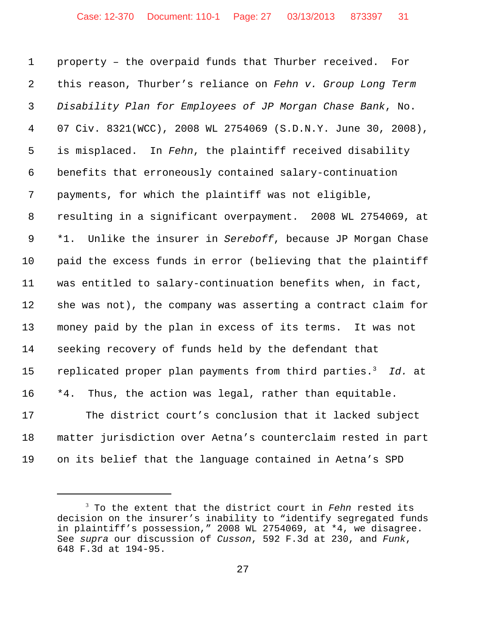property – the overpaid funds that Thurber received. For this reason, Thurber's reliance on *Fehn v. Group Long Term Disability Plan for Employees of JP Morgan Chase Bank*, No. 07 Civ. 8321(WCC), 2008 WL 2754069 (S.D.N.Y. June 30, 2008), is misplaced. In *Fehn*, the plaintiff received disability benefits that erroneously contained salary-continuation payments, for which the plaintiff was not eligible, resulting in a significant overpayment. 2008 WL 2754069, at \*1. Unlike the insurer in *Sereboff*, because JP Morgan Chase paid the excess funds in error (believing that the plaintiff was entitled to salary-continuation benefits when, in fact, she was not), the company was asserting a contract claim for money paid by the plan in excess of its terms. It was not seeking recovery of funds held by the defendant that 15 replicated proper plan payments from third parties.<sup>3</sup> Id. at \*4. Thus, the action was legal, rather than equitable. The district court's conclusion that it lacked subject matter jurisdiction over Aetna's counterclaim rested in part

on its belief that the language contained in Aetna's SPD

 To the extent that the district court in *Fehn* rested its decision on the insurer's inability to "identify segregated funds in plaintiff's possession," 2008 WL 2754069, at \*4, we disagree. See *supra* our discussion of *Cusson*, 592 F.3d at 230, and *Funk*, 648 F.3d at 194-95.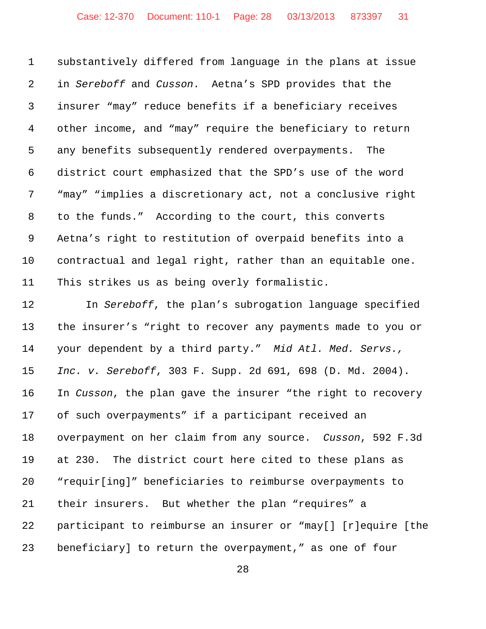substantively differed from language in the plans at issue in *Sereboff* and *Cusson*. Aetna's SPD provides that the insurer "may" reduce benefits if a beneficiary receives other income, and "may" require the beneficiary to return any benefits subsequently rendered overpayments. The district court emphasized that the SPD's use of the word "may" "implies a discretionary act, not a conclusive right to the funds." According to the court, this converts Aetna's right to restitution of overpaid benefits into a contractual and legal right, rather than an equitable one. This strikes us as being overly formalistic.

 In *Sereboff*, the plan's subrogation language specified the insurer's "right to recover any payments made to you or your dependent by a third party." *Mid Atl. Med. Servs., Inc. v. Sereboff*, 303 F. Supp. 2d 691, 698 (D. Md. 2004). In *Cusson*, the plan gave the insurer "the right to recovery of such overpayments" if a participant received an overpayment on her claim from any source. *Cusson*, 592 F.3d at 230. The district court here cited to these plans as "requir[ing]" beneficiaries to reimburse overpayments to their insurers. But whether the plan "requires" a participant to reimburse an insurer or "may[] [r]equire [the beneficiary] to return the overpayment," as one of four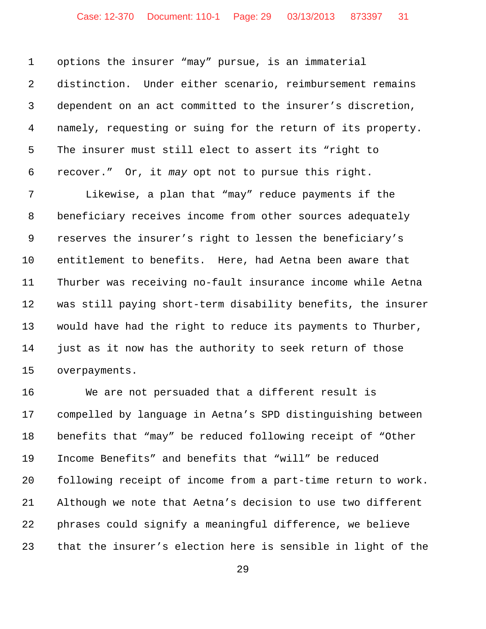options the insurer "may" pursue, is an immaterial distinction. Under either scenario, reimbursement remains dependent on an act committed to the insurer's discretion, namely, requesting or suing for the return of its property. The insurer must still elect to assert its "right to recover." Or, it *may* opt not to pursue this right.

 Likewise, a plan that "may" reduce payments if the beneficiary receives income from other sources adequately reserves the insurer's right to lessen the beneficiary's entitlement to benefits. Here, had Aetna been aware that Thurber was receiving no-fault insurance income while Aetna was still paying short-term disability benefits, the insurer would have had the right to reduce its payments to Thurber, just as it now has the authority to seek return of those overpayments.

 We are not persuaded that a different result is compelled by language in Aetna's SPD distinguishing between benefits that "may" be reduced following receipt of "Other Income Benefits" and benefits that "will" be reduced following receipt of income from a part-time return to work. Although we note that Aetna's decision to use two different phrases could signify a meaningful difference, we believe that the insurer's election here is sensible in light of the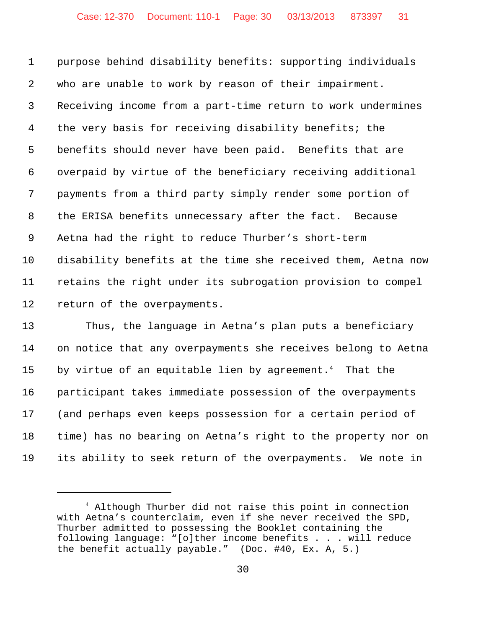purpose behind disability benefits: supporting individuals who are unable to work by reason of their impairment. Receiving income from a part-time return to work undermines the very basis for receiving disability benefits; the benefits should never have been paid. Benefits that are overpaid by virtue of the beneficiary receiving additional payments from a third party simply render some portion of the ERISA benefits unnecessary after the fact. Because Aetna had the right to reduce Thurber's short-term disability benefits at the time she received them, Aetna now retains the right under its subrogation provision to compel return of the overpayments.

 Thus, the language in Aetna's plan puts a beneficiary on notice that any overpayments she receives belong to Aetna 15 by virtue of an equitable lien by agreement.<sup>4</sup> That the participant takes immediate possession of the overpayments (and perhaps even keeps possession for a certain period of time) has no bearing on Aetna's right to the property nor on its ability to seek return of the overpayments. We note in

 Although Thurber did not raise this point in connection with Aetna's counterclaim, even if she never received the SPD, Thurber admitted to possessing the Booklet containing the following language: "[o]ther income benefits . . . will reduce the benefit actually payable." (Doc. #40, Ex. A, 5.)